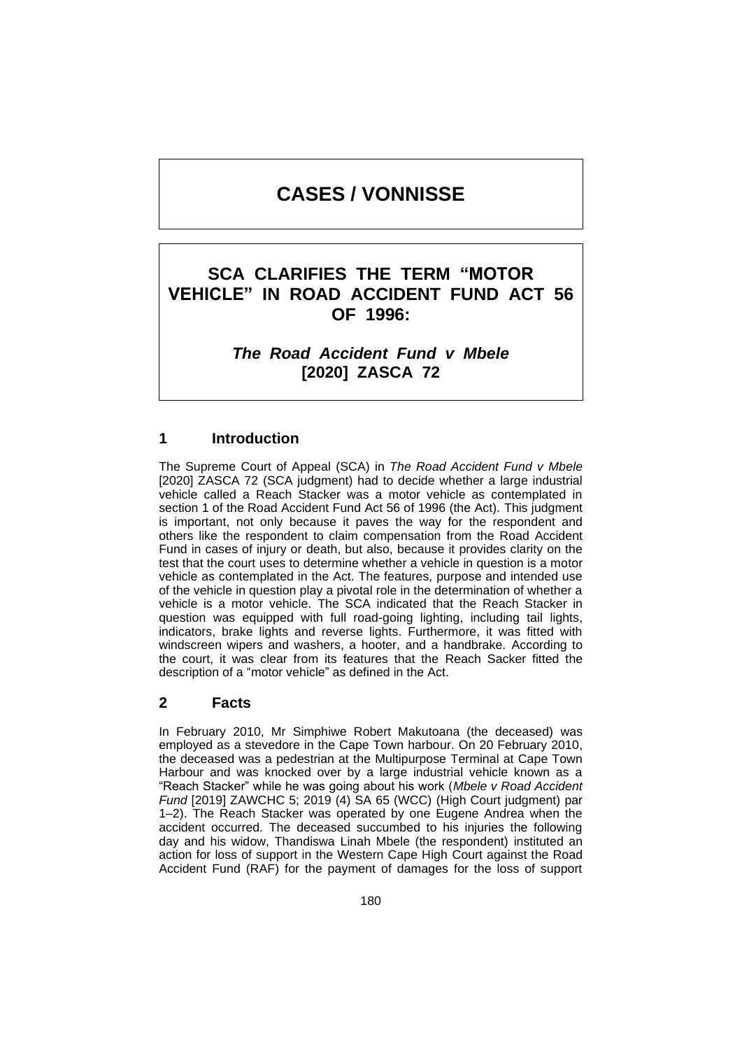# **CASES / VONNISSE**

# **SCA CLARIFIES THE TERM "MOTOR VEHICLE" IN ROAD ACCIDENT FUND ACT 56 OF 1996:**

*The Road Accident Fund v Mbele* **[2020] ZASCA 72**

# **1 Introduction**

The Supreme Court of Appeal (SCA) in *The Road Accident Fund v Mbele*  [2020] ZASCA 72 (SCA judgment) had to decide whether a large industrial vehicle called a Reach Stacker was a motor vehicle as contemplated in section 1 of the Road Accident Fund Act 56 of 1996 (the Act). This judgment is important, not only because it paves the way for the respondent and others like the respondent to claim compensation from the Road Accident Fund in cases of injury or death, but also, because it provides clarity on the test that the court uses to determine whether a vehicle in question is a motor vehicle as contemplated in the Act. The features, purpose and intended use of the vehicle in question play a pivotal role in the determination of whether a vehicle is a motor vehicle. The SCA indicated that the Reach Stacker in question was equipped with full road-going lighting, including tail lights, indicators, brake lights and reverse lights. Furthermore, it was fitted with windscreen wipers and washers, a hooter, and a handbrake. According to the court, it was clear from its features that the Reach Sacker fitted the description of a "motor vehicle" as defined in the Act.

### **2 Facts**

In February 2010, Mr Simphiwe Robert Makutoana (the deceased) was employed as a stevedore in the Cape Town harbour. On 20 February 2010, the deceased was a pedestrian at the Multipurpose Terminal at Cape Town Harbour and was knocked over by a large industrial vehicle known as a "Reach Stacker" while he was going about his work (*Mbele v Road Accident Fund* [2019] ZAWCHC 5; 2019 (4) SA 65 (WCC) (High Court judgment) par 1–2). The Reach Stacker was operated by one Eugene Andrea when the accident occurred. The deceased succumbed to his injuries the following day and his widow, Thandiswa Linah Mbele (the respondent) instituted an action for loss of support in the Western Cape High Court against the Road Accident Fund (RAF) for the payment of damages for the loss of support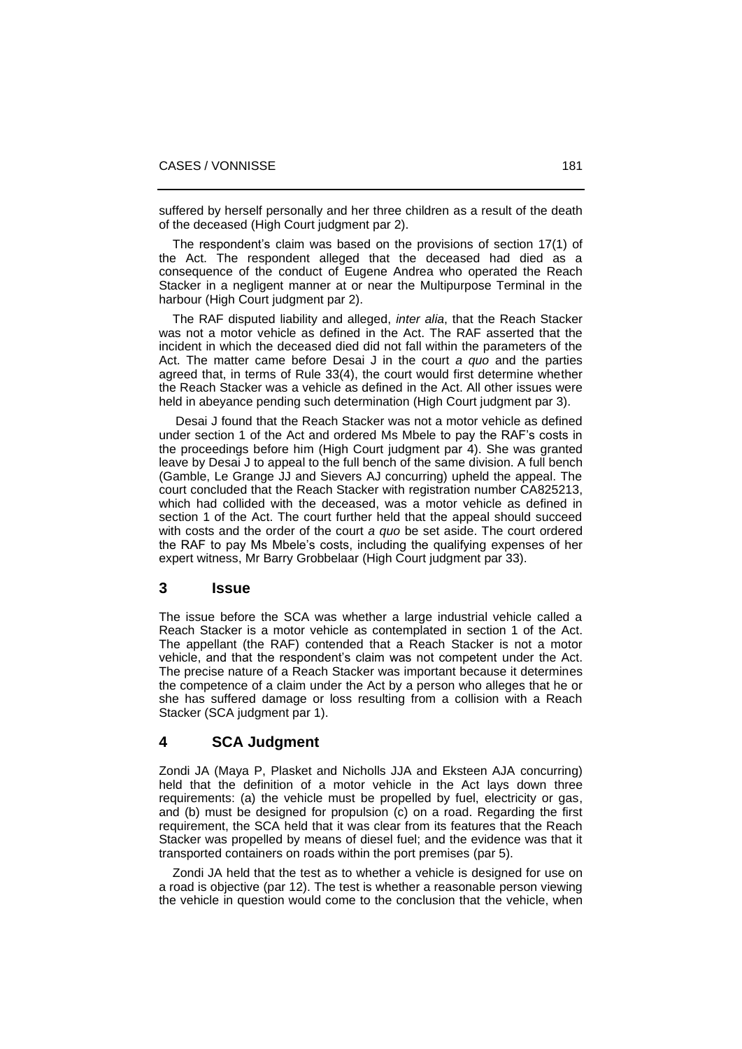suffered by herself personally and her three children as a result of the death of the deceased (High Court judgment par 2).

 The respondent's claim was based on the provisions of section 17(1) of the Act. The respondent alleged that the deceased had died as a consequence of the conduct of Eugene Andrea who operated the Reach Stacker in a negligent manner at or near the Multipurpose Terminal in the harbour (High Court judgment par 2).

 The RAF disputed liability and alleged, *inter alia*, that the Reach Stacker was not a motor vehicle as defined in the Act. The RAF asserted that the incident in which the deceased died did not fall within the parameters of the Act. The matter came before Desai J in the court *a quo* and the parties agreed that, in terms of Rule 33(4), the court would first determine whether the Reach Stacker was a vehicle as defined in the Act. All other issues were held in abeyance pending such determination (High Court judgment par 3).

 Desai J found that the Reach Stacker was not a motor vehicle as defined under section 1 of the Act and ordered Ms Mbele to pay the RAF's costs in the proceedings before him (High Court judgment par 4). She was granted leave by Desai J to appeal to the full bench of the same division. A full bench (Gamble, Le Grange JJ and Sievers AJ concurring) upheld the appeal. The court concluded that the Reach Stacker with registration number CA825213, which had collided with the deceased, was a motor vehicle as defined in section 1 of the Act. The court further held that the appeal should succeed with costs and the order of the court *a quo* be set aside. The court ordered the RAF to pay Ms Mbele's costs, including the qualifying expenses of her expert witness, Mr Barry Grobbelaar (High Court judgment par 33).

#### **3 Issue**

The issue before the SCA was whether a large industrial vehicle called a Reach Stacker is a motor vehicle as contemplated in section 1 of the Act. The appellant (the RAF) contended that a Reach Stacker is not a motor vehicle, and that the respondent's claim was not competent under the Act. The precise nature of a Reach Stacker was important because it determines the competence of a claim under the Act by a person who alleges that he or she has suffered damage or loss resulting from a collision with a Reach Stacker (SCA judgment par 1).

## **4 SCA Judgment**

Zondi JA (Maya P, Plasket and Nicholls JJA and Eksteen AJA concurring) held that the definition of a motor vehicle in the Act lays down three requirements: (a) the vehicle must be propelled by fuel, electricity or gas, and (b) must be designed for propulsion (c) on a road. Regarding the first requirement, the SCA held that it was clear from its features that the Reach Stacker was propelled by means of diesel fuel; and the evidence was that it transported containers on roads within the port premises (par 5).

 Zondi JA held that the test as to whether a vehicle is designed for use on a road is objective (par 12). The test is whether a reasonable person viewing the vehicle in question would come to the conclusion that the vehicle, when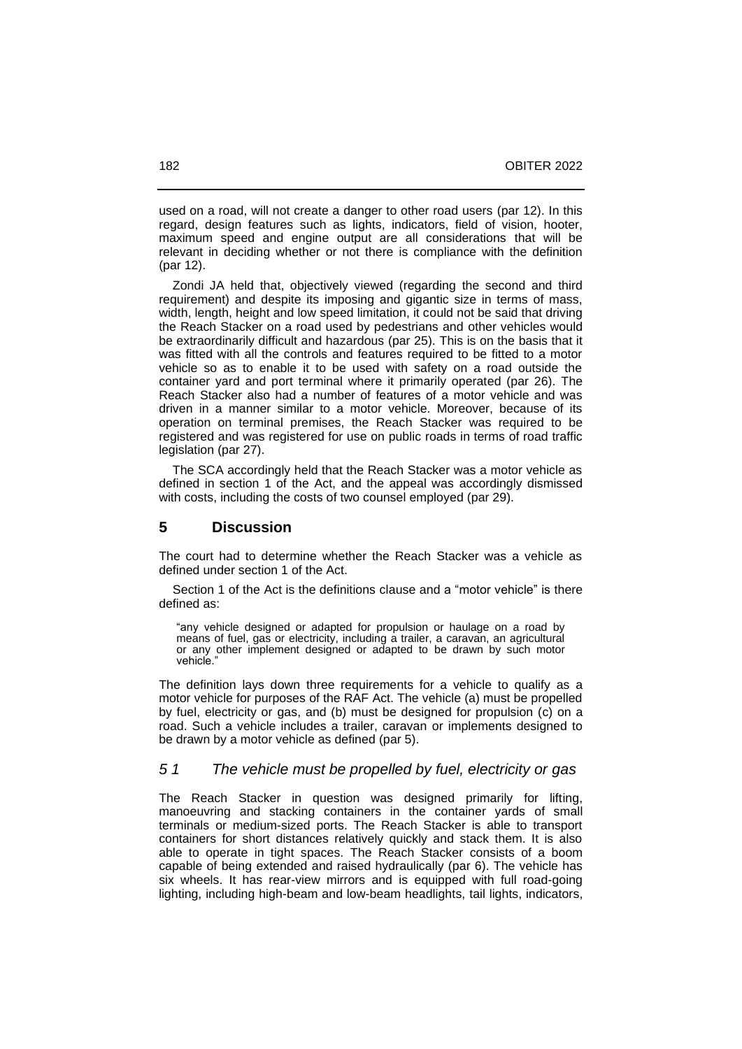used on a road, will not create a danger to other road users (par 12). In this regard, design features such as lights, indicators, field of vision, hooter, maximum speed and engine output are all considerations that will be relevant in deciding whether or not there is compliance with the definition (par 12).

 Zondi JA held that, objectively viewed (regarding the second and third requirement) and despite its imposing and gigantic size in terms of mass, width, length, height and low speed limitation, it could not be said that driving the Reach Stacker on a road used by pedestrians and other vehicles would be extraordinarily difficult and hazardous (par 25). This is on the basis that it was fitted with all the controls and features required to be fitted to a motor vehicle so as to enable it to be used with safety on a road outside the container yard and port terminal where it primarily operated (par 26). The Reach Stacker also had a number of features of a motor vehicle and was driven in a manner similar to a motor vehicle. Moreover, because of its operation on terminal premises, the Reach Stacker was required to be registered and was registered for use on public roads in terms of road traffic legislation (par 27).

 The SCA accordingly held that the Reach Stacker was a motor vehicle as defined in section 1 of the Act, and the appeal was accordingly dismissed with costs, including the costs of two counsel employed (par 29).

# **5 Discussion**

The court had to determine whether the Reach Stacker was a vehicle as defined under section 1 of the Act.

 Section 1 of the Act is the definitions clause and a "motor vehicle" is there defined as:

"any vehicle designed or adapted for propulsion or haulage on a road by means of fuel, gas or electricity, including a trailer, a caravan, an agricultural or any other implement designed or adapted to be drawn by such motor vehicle.'

The definition lays down three requirements for a vehicle to qualify as a motor vehicle for purposes of the RAF Act. The vehicle (a) must be propelled by fuel, electricity or gas, and (b) must be designed for propulsion (c) on a road. Such a vehicle includes a trailer, caravan or implements designed to be drawn by a motor vehicle as defined (par 5).

#### *5 1 The vehicle must be propelled by fuel, electricity or gas*

The Reach Stacker in question was designed primarily for lifting, manoeuvring and stacking containers in the container yards of small terminals or medium-sized ports. The Reach Stacker is able to transport containers for short distances relatively quickly and stack them. It is also able to operate in tight spaces. The Reach Stacker consists of a boom capable of being extended and raised hydraulically (par 6). The vehicle has six wheels. It has rear-view mirrors and is equipped with full road-going lighting, including high-beam and low-beam headlights, tail lights, indicators,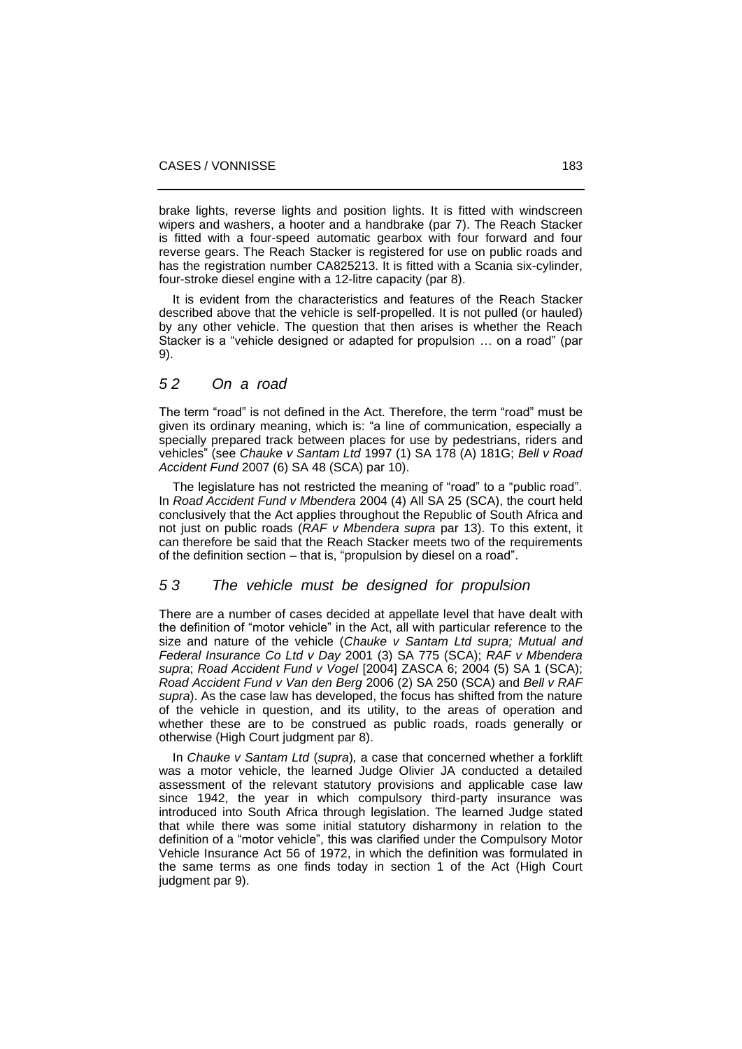brake lights, reverse lights and position lights. It is fitted with windscreen wipers and washers, a hooter and a handbrake (par 7). The Reach Stacker is fitted with a four-speed automatic gearbox with four forward and four reverse gears. The Reach Stacker is registered for use on public roads and has the registration number CA825213. It is fitted with a Scania six-cylinder, four-stroke diesel engine with a 12-litre capacity (par 8).

 It is evident from the characteristics and features of the Reach Stacker described above that the vehicle is self-propelled. It is not pulled (or hauled) by any other vehicle. The question that then arises is whether the Reach Stacker is a "vehicle designed or adapted for propulsion … on a road" (par 9).

### *5 2 On a road*

The term "road" is not defined in the Act. Therefore, the term "road" must be given its ordinary meaning, which is: "a line of communication, especially a specially prepared track between places for use by pedestrians, riders and vehicles" (see *Chauke v Santam Ltd* 1997 (1) SA 178 (A) 181G; *Bell v Road Accident Fund* 2007 (6) SA 48 (SCA) par 10).

The legislature has not restricted the meaning of "road" to a "public road". In *Road Accident Fund v Mbendera* 2004 (4) All SA 25 (SCA), the court held conclusively that the Act applies throughout the Republic of South Africa and not just on public roads (*RAF v Mbendera supra* par 13). To this extent, it can therefore be said that the Reach Stacker meets two of the requirements of the definition section – that is, "propulsion by diesel on a road".

### *5 3 The vehicle must be designed for propulsion*

There are a number of cases decided at appellate level that have dealt with the definition of "motor vehicle" in the Act, all with particular reference to the size and nature of the vehicle (*Chauke v Santam Ltd supra; Mutual and Federal Insurance Co Ltd v Day* 2001 (3) SA 775 (SCA); *RAF v Mbendera supra*; *Road Accident Fund v Vogel* [2004] ZASCA 6; 2004 (5) SA 1 (SCA); *Road Accident Fund v Van den Berg* 2006 (2) SA 250 (SCA) and *Bell v RAF supra*). As the case law has developed, the focus has shifted from the nature of the vehicle in question, and its utility, to the areas of operation and whether these are to be construed as public roads, roads generally or otherwise (High Court judgment par 8).

 In *Chauke v Santam Ltd* (*supra*)*,* a case that concerned whether a forklift was a motor vehicle, the learned Judge Olivier JA conducted a detailed assessment of the relevant statutory provisions and applicable case law since 1942, the year in which compulsory third-party insurance was introduced into South Africa through legislation. The learned Judge stated that while there was some initial statutory disharmony in relation to the definition of a "motor vehicle", this was clarified under the Compulsory Motor Vehicle Insurance Act 56 of 1972, in which the definition was formulated in the same terms as one finds today in section 1 of the Act (High Court judgment par 9).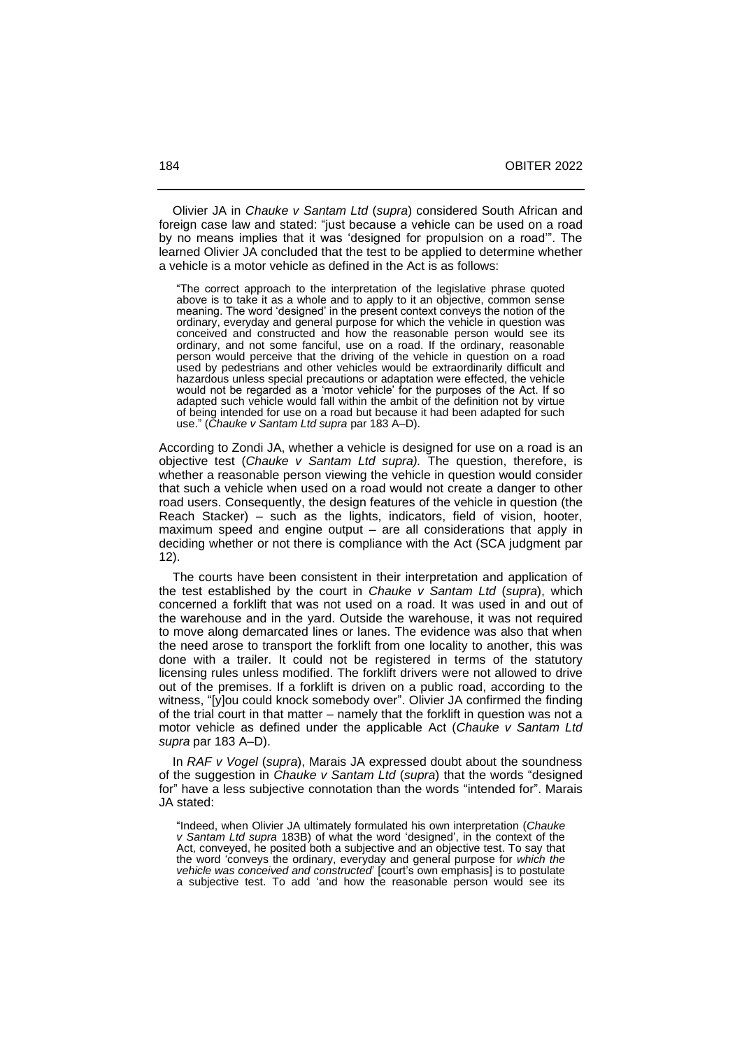Olivier JA in *Chauke v Santam Ltd* (*supra*) considered South African and foreign case law and stated: "just because a vehicle can be used on a road by no means implies that it was 'designed for propulsion on a road'". The learned Olivier JA concluded that the test to be applied to determine whether a vehicle is a motor vehicle as defined in the Act is as follows:

"The correct approach to the interpretation of the legislative phrase quoted above is to take it as a whole and to apply to it an objective, common sense meaning. The word 'designed' in the present context conveys the notion of the ordinary, everyday and general purpose for which the vehicle in question was conceived and constructed and how the reasonable person would see its ordinary, and not some fanciful, use on a road. If the ordinary, reasonable person would perceive that the driving of the vehicle in question on a road used by pedestrians and other vehicles would be extraordinarily difficult and hazardous unless special precautions or adaptation were effected, the vehicle would not be regarded as a 'motor vehicle' for the purposes of the Act. If so adapted such vehicle would fall within the ambit of the definition not by virtue of being intended for use on a road but because it had been adapted for such use." (*Chauke v Santam Ltd supra* par 183 A–D).

According to Zondi JA, whether a vehicle is designed for use on a road is an objective test (*Chauke v Santam Ltd supra).* The question, therefore, is whether a reasonable person viewing the vehicle in question would consider that such a vehicle when used on a road would not create a danger to other road users. Consequently, the design features of the vehicle in question (the Reach Stacker) – such as the lights, indicators, field of vision, hooter, maximum speed and engine output – are all considerations that apply in deciding whether or not there is compliance with the Act (SCA judgment par 12).

 The courts have been consistent in their interpretation and application of the test established by the court in *Chauke v Santam Ltd* (*supra*), which concerned a forklift that was not used on a road. It was used in and out of the warehouse and in the yard. Outside the warehouse, it was not required to move along demarcated lines or lanes. The evidence was also that when the need arose to transport the forklift from one locality to another, this was done with a trailer. It could not be registered in terms of the statutory licensing rules unless modified. The forklift drivers were not allowed to drive out of the premises. If a forklift is driven on a public road, according to the witness, "[y]ou could knock somebody over". Olivier JA confirmed the finding of the trial court in that matter – namely that the forklift in question was not a motor vehicle as defined under the applicable Act (*Chauke v Santam Ltd supra* par 183 A‒D).

 In *RAF v Vogel* (*supra*), Marais JA expressed doubt about the soundness of the suggestion in *Chauke v Santam Ltd* (*supra*) that the words "designed for" have a less subjective connotation than the words "intended for". Marais JA stated:

"Indeed, when Olivier JA ultimately formulated his own interpretation (*Chauke v Santam Ltd supra* 183B) of what the word 'designed', in the context of the Act, conveyed, he posited both a subjective and an objective test. To say that the word 'conveys the ordinary, everyday and general purpose for *which the vehicle was conceived and constructed*' [court's own emphasis] is to postulate a subjective test. To add 'and how the reasonable person would see its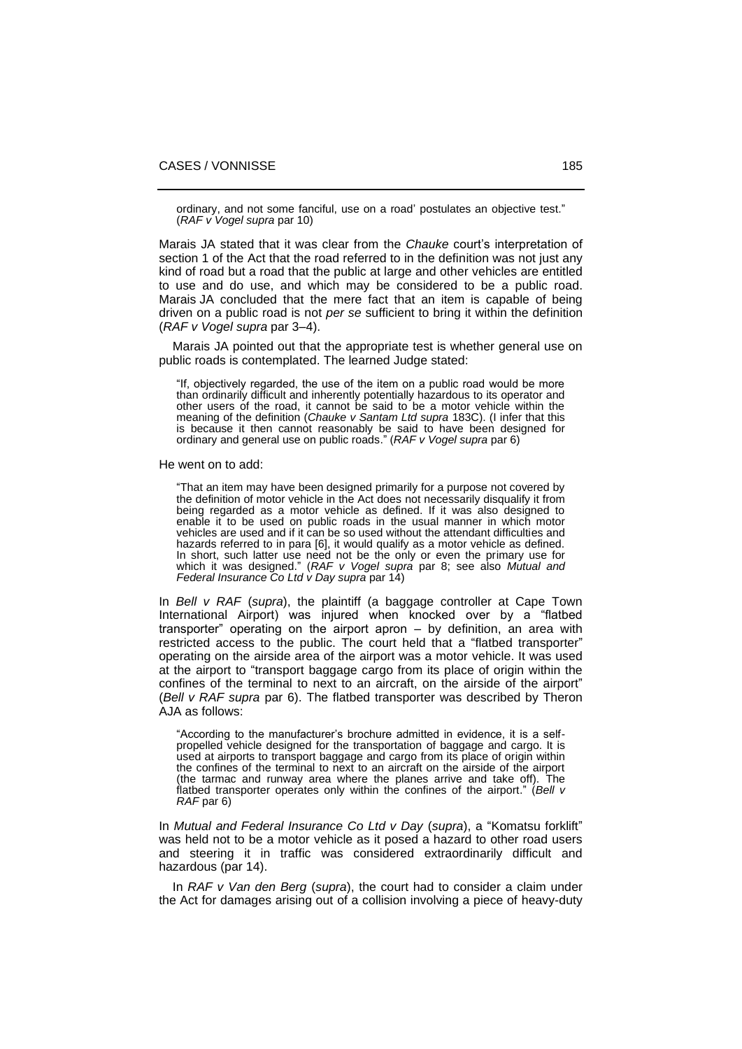ordinary, and not some fanciful, use on a road' postulates an objective test." (*RAF v Vogel supra* par 10)

Marais JA stated that it was clear from the *Chauke* court's interpretation of section 1 of the Act that the road referred to in the definition was not just any kind of road but a road that the public at large and other vehicles are entitled to use and do use, and which may be considered to be a public road. Marais JA concluded that the mere fact that an item is capable of being driven on a public road is not *per se* sufficient to bring it within the definition (*RAF v Vogel supra* par 3‒4).

 Marais JA pointed out that the appropriate test is whether general use on public roads is contemplated. The learned Judge stated:

"If, objectively regarded, the use of the item on a public road would be more than ordinarily difficult and inherently potentially hazardous to its operator and other users of the road, it cannot be said to be a motor vehicle within the meaning of the definition (*Chauke v Santam Ltd supra* 183C). (I infer that this is because it then cannot reasonably be said to have been designed for ordinary and general use on public roads." (*RAF v Vogel supra* par 6)

He went on to add:

"That an item may have been designed primarily for a purpose not covered by the definition of motor vehicle in the Act does not necessarily disqualify it from being regarded as a motor vehicle as defined. If it was also designed to enable it to be used on public roads in the usual manner in which motor vehicles are used and if it can be so used without the attendant difficulties and hazards referred to in para [6], it would qualify as a motor vehicle as defined. In short, such latter use need not be the only or even the primary use for which it was designed." (*RAF v Vogel supra* par 8; see also *Mutual and Federal Insurance Co Ltd v Day supra* par 14)

In *Bell v RAF* (*supra*), the plaintiff (a baggage controller at Cape Town International Airport) was injured when knocked over by a "flatbed transporter" operating on the airport apron – by definition, an area with restricted access to the public. The court held that a "flatbed transporter" operating on the airside area of the airport was a motor vehicle. It was used at the airport to "transport baggage cargo from its place of origin within the confines of the terminal to next to an aircraft, on the airside of the airport" (*Bell v RAF supra* par 6). The flatbed transporter was described by Theron AJA as follows:

"According to the manufacturer's brochure admitted in evidence, it is a selfpropelled vehicle designed for the transportation of baggage and cargo. It is used at airports to transport baggage and cargo from its place of origin within the confines of the terminal to next to an aircraft on the airside of the airport (the tarmac and runway area where the planes arrive and take off). The flatbed transporter operates only within the confines of the airport." (*Bell v RAF* par 6)

In *Mutual and Federal Insurance Co Ltd v Day* (*supra*), a "Komatsu forklift" was held not to be a motor vehicle as it posed a hazard to other road users and steering it in traffic was considered extraordinarily difficult and hazardous (par 14).

 In *RAF v Van den Berg* (*supra*), the court had to consider a claim under the Act for damages arising out of a collision involving a piece of heavy-duty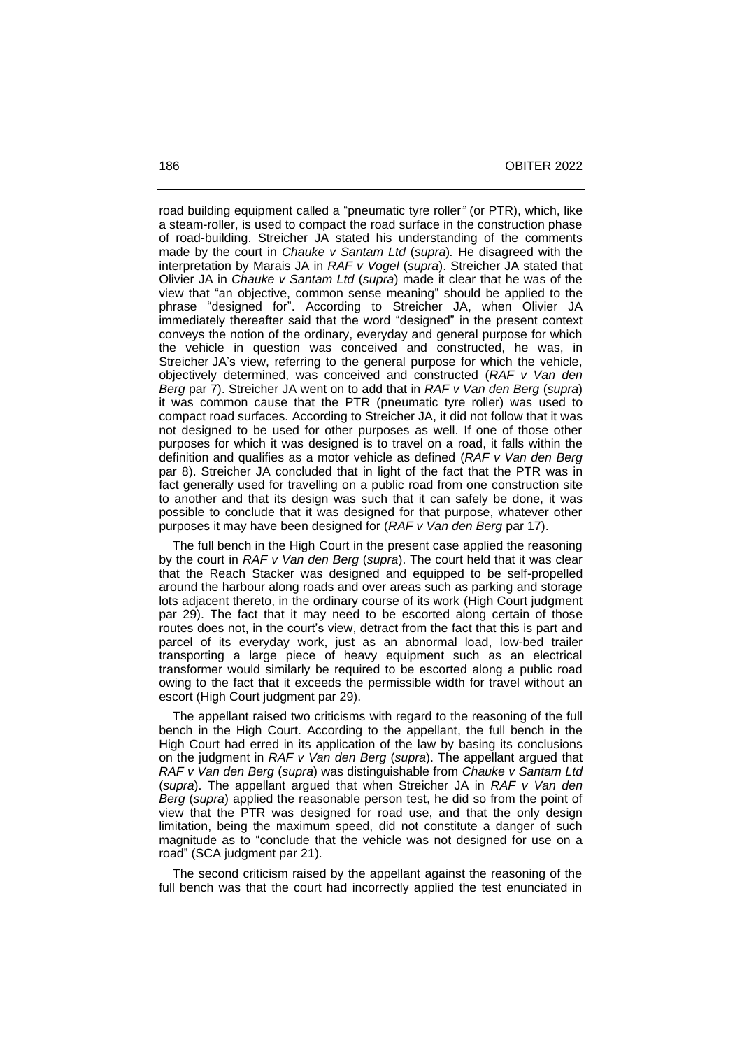road building equipment called a "pneumatic tyre roller*"* (or PTR), which, like a steam-roller, is used to compact the road surface in the construction phase of road-building. Streicher JA stated his understanding of the comments made by the court in *Chauke v Santam Ltd* (*supra*)*.* He disagreed with the interpretation by Marais JA in *RAF v Vogel* (*supra*). Streicher JA stated that Olivier JA in *Chauke v Santam Ltd* (*supra*) made it clear that he was of the view that "an objective, common sense meaning" should be applied to the phrase "designed for". According to Streicher JA, when Olivier JA immediately thereafter said that the word "designed" in the present context conveys the notion of the ordinary, everyday and general purpose for which the vehicle in question was conceived and constructed, he was, in Streicher JA's view, referring to the general purpose for which the vehicle, objectively determined, was conceived and constructed (*RAF v Van den Berg* par 7). Streicher JA went on to add that in *RAF v Van den Berg* (*supra*) it was common cause that the PTR (pneumatic tyre roller) was used to compact road surfaces. According to Streicher JA, it did not follow that it was not designed to be used for other purposes as well. If one of those other purposes for which it was designed is to travel on a road, it falls within the definition and qualifies as a motor vehicle as defined (*RAF v Van den Berg* par 8). Streicher JA concluded that in light of the fact that the PTR was in fact generally used for travelling on a public road from one construction site to another and that its design was such that it can safely be done, it was possible to conclude that it was designed for that purpose, whatever other purposes it may have been designed for (*RAF v Van den Berg* par 17).

 The full bench in the High Court in the present case applied the reasoning by the court in *RAF v Van den Berg* (*supra*). The court held that it was clear that the Reach Stacker was designed and equipped to be self-propelled around the harbour along roads and over areas such as parking and storage lots adjacent thereto, in the ordinary course of its work (High Court judgment par 29). The fact that it may need to be escorted along certain of those routes does not, in the court's view, detract from the fact that this is part and parcel of its everyday work, just as an abnormal load, low-bed trailer transporting a large piece of heavy equipment such as an electrical transformer would similarly be required to be escorted along a public road owing to the fact that it exceeds the permissible width for travel without an escort (High Court judgment par 29).

 The appellant raised two criticisms with regard to the reasoning of the full bench in the High Court. According to the appellant, the full bench in the High Court had erred in its application of the law by basing its conclusions on the judgment in *RAF v Van den Berg* (*supra*). The appellant argued that *RAF v Van den Berg* (*supra*) was distinguishable from *Chauke v Santam Ltd*  (*supra*). The appellant argued that when Streicher JA in *RAF v Van den Berg* (*supra*) applied the reasonable person test, he did so from the point of view that the PTR was designed for road use, and that the only design limitation, being the maximum speed, did not constitute a danger of such magnitude as to "conclude that the vehicle was not designed for use on a road" (SCA judgment par 21).

 The second criticism raised by the appellant against the reasoning of the full bench was that the court had incorrectly applied the test enunciated in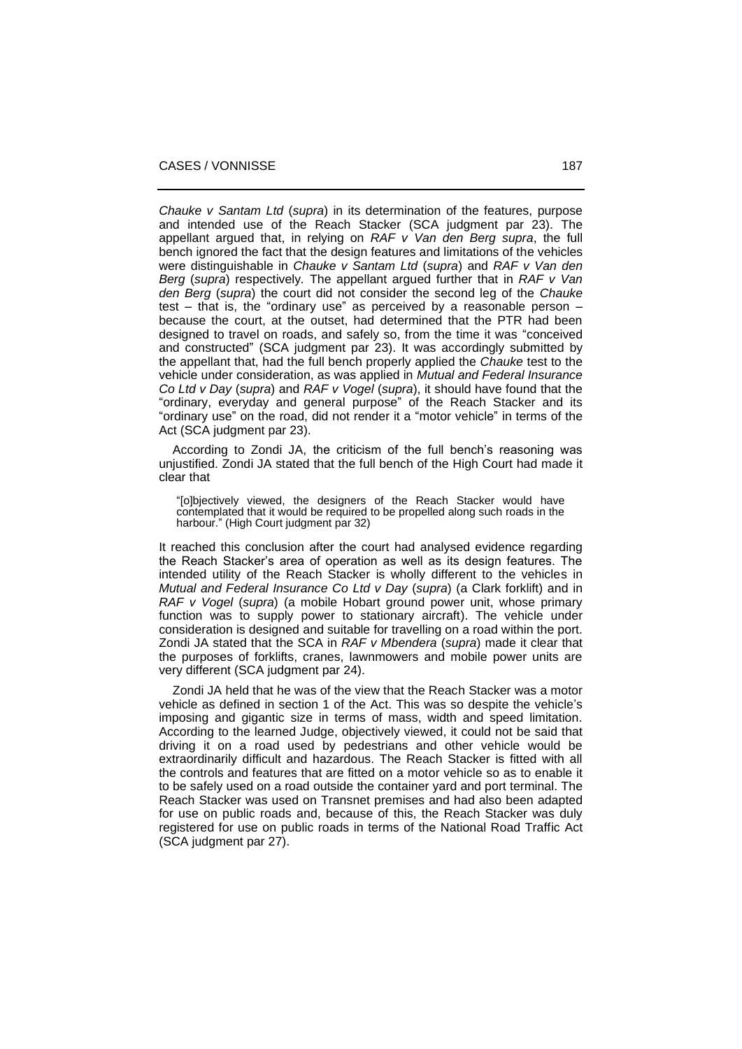*Chauke v Santam Ltd* (*supra*) in its determination of the features, purpose and intended use of the Reach Stacker (SCA judgment par 23). The appellant argued that, in relying on *RAF v Van den Berg supra*, the full bench ignored the fact that the design features and limitations of the vehicles were distinguishable in *Chauke v Santam Ltd* (*supra*) and *RAF v Van den Berg* (*supra*) respectively*.* The appellant argued further that in *RAF v Van den Berg* (*supra*) the court did not consider the second leg of the *Chauke*  test – that is, the "ordinary use" as perceived by a reasonable person – because the court, at the outset, had determined that the PTR had been designed to travel on roads, and safely so, from the time it was "conceived and constructed" (SCA judgment par 23). It was accordingly submitted by the appellant that, had the full bench properly applied the *Chauke* test to the vehicle under consideration, as was applied in *Mutual and Federal Insurance Co Ltd v Day* (*supra*) and *RAF v Vogel* (*supra*), it should have found that the "ordinary, everyday and general purpose" of the Reach Stacker and its "ordinary use" on the road, did not render it a "motor vehicle" in terms of the Act (SCA judgment par 23).

 According to Zondi JA, the criticism of the full bench's reasoning was unjustified. Zondi JA stated that the full bench of the High Court had made it clear that

"[o]bjectively viewed, the designers of the Reach Stacker would have contemplated that it would be required to be propelled along such roads in the harbour." (High Court judgment par 32)

It reached this conclusion after the court had analysed evidence regarding the Reach Stacker's area of operation as well as its design features. The intended utility of the Reach Stacker is wholly different to the vehicles in *Mutual and Federal Insurance Co Ltd v Day* (*supra*) (a Clark forklift) and in *RAF v* Vogel (*supra*) (a mobile Hobart ground power unit, whose primary function was to supply power to stationary aircraft). The vehicle under consideration is designed and suitable for travelling on a road within the port. Zondi JA stated that the SCA in *RAF v Mbendera* (*supra*) made it clear that the purposes of forklifts, cranes, lawnmowers and mobile power units are very different (SCA judgment par 24).

 Zondi JA held that he was of the view that the Reach Stacker was a motor vehicle as defined in section 1 of the Act. This was so despite the vehicle's imposing and gigantic size in terms of mass, width and speed limitation. According to the learned Judge, objectively viewed, it could not be said that driving it on a road used by pedestrians and other vehicle would be extraordinarily difficult and hazardous. The Reach Stacker is fitted with all the controls and features that are fitted on a motor vehicle so as to enable it to be safely used on a road outside the container yard and port terminal. The Reach Stacker was used on Transnet premises and had also been adapted for use on public roads and, because of this, the Reach Stacker was duly registered for use on public roads in terms of the National Road Traffic Act (SCA judgment par 27).